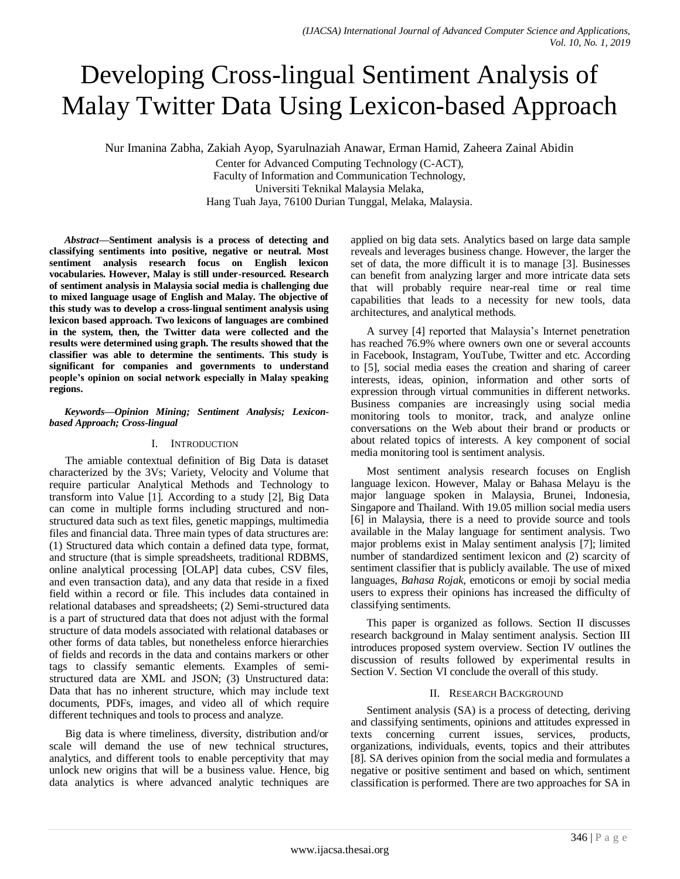# Developing Cross-lingual Sentiment Analysis of Malay Twitter Data Using Lexicon-based Approach

Nur Imanina Zabha, Zakiah Ayop, Syarulnaziah Anawar, Erman Hamid, Zaheera Zainal Abidin

Center for Advanced Computing Technology (C-ACT), Faculty of Information and Communication Technology, Universiti Teknikal Malaysia Melaka, Hang Tuah Jaya, 76100 Durian Tunggal, Melaka, Malaysia.

*Abstract***—Sentiment analysis is a process of detecting and classifying sentiments into positive, negative or neutral. Most sentiment analysis research focus on English lexicon vocabularies. However, Malay is still under-resourced. Research of sentiment analysis in Malaysia social media is challenging due to mixed language usage of English and Malay. The objective of this study was to develop a cross-lingual sentiment analysis using lexicon based approach. Two lexicons of languages are combined in the system, then, the Twitter data were collected and the results were determined using graph. The results showed that the classifier was able to determine the sentiments. This study is significant for companies and governments to understand people's opinion on social network especially in Malay speaking regions.**

## *Keywords—Opinion Mining; Sentiment Analysis; Lexiconbased Approach; Cross-lingual*

# I. INTRODUCTION

The amiable contextual definition of Big Data is dataset characterized by the 3Vs; Variety, Velocity and Volume that require particular Analytical Methods and Technology to transform into Value [1]. According to a study [2], Big Data can come in multiple forms including structured and nonstructured data such as text files, genetic mappings, multimedia files and financial data. Three main types of data structures are: (1) Structured data which contain a defined data type, format, and structure (that is simple spreadsheets, traditional RDBMS, online analytical processing [OLAP] data cubes, CSV files, and even transaction data), and any data that reside in a fixed field within a record or file. This includes data contained in relational databases and spreadsheets; (2) Semi-structured data is a part of structured data that does not adjust with the formal structure of data models associated with relational databases or other forms of data tables, but nonetheless enforce hierarchies of fields and records in the data and contains markers or other tags to classify semantic elements. Examples of semistructured data are XML and JSON; (3) Unstructured data: Data that has no inherent structure, which may include text documents, PDFs, images, and video all of which require different techniques and tools to process and analyze.

Big data is where timeliness, diversity, distribution and/or scale will demand the use of new technical structures, analytics, and different tools to enable perceptivity that may unlock new origins that will be a business value. Hence, big data analytics is where advanced analytic techniques are applied on big data sets. Analytics based on large data sample reveals and leverages business change. However, the larger the set of data, the more difficult it is to manage [3]. Businesses can benefit from analyzing larger and more intricate data sets that will probably require near-real time or real time capabilities that leads to a necessity for new tools, data architectures, and analytical methods.

A survey [4] reported that Malaysia"s Internet penetration has reached 76.9% where owners own one or several accounts in Facebook, Instagram, YouTube, Twitter and etc. According to [5], social media eases the creation and sharing of career interests, ideas, opinion, information and other sorts of expression through virtual communities in different networks. Business companies are increasingly using social media monitoring tools to monitor, track, and analyze online conversations on the Web about their brand or products or about related topics of interests. A key component of social media monitoring tool is sentiment analysis.

Most sentiment analysis research focuses on English language lexicon. However, Malay or Bahasa Melayu is the major language spoken in Malaysia, Brunei, Indonesia, Singapore and Thailand. With 19.05 million social media users [6] in Malaysia, there is a need to provide source and tools available in the Malay language for sentiment analysis. Two major problems exist in Malay sentiment analysis [7]; limited number of standardized sentiment lexicon and (2) scarcity of sentiment classifier that is publicly available. The use of mixed languages, *Bahasa Rojak*, emoticons or emoji by social media users to express their opinions has increased the difficulty of classifying sentiments.

This paper is organized as follows. Section II discusses research background in Malay sentiment analysis. Section III introduces proposed system overview. Section IV outlines the discussion of results followed by experimental results in Section V. Section VI conclude the overall of this study.

# II. RESEARCH BACKGROUND

Sentiment analysis (SA) is a process of detecting, deriving and classifying sentiments, opinions and attitudes expressed in texts concerning current issues, services, products, organizations, individuals, events, topics and their attributes [8]. SA derives opinion from the social media and formulates a negative or positive sentiment and based on which, sentiment classification is performed. There are two approaches for SA in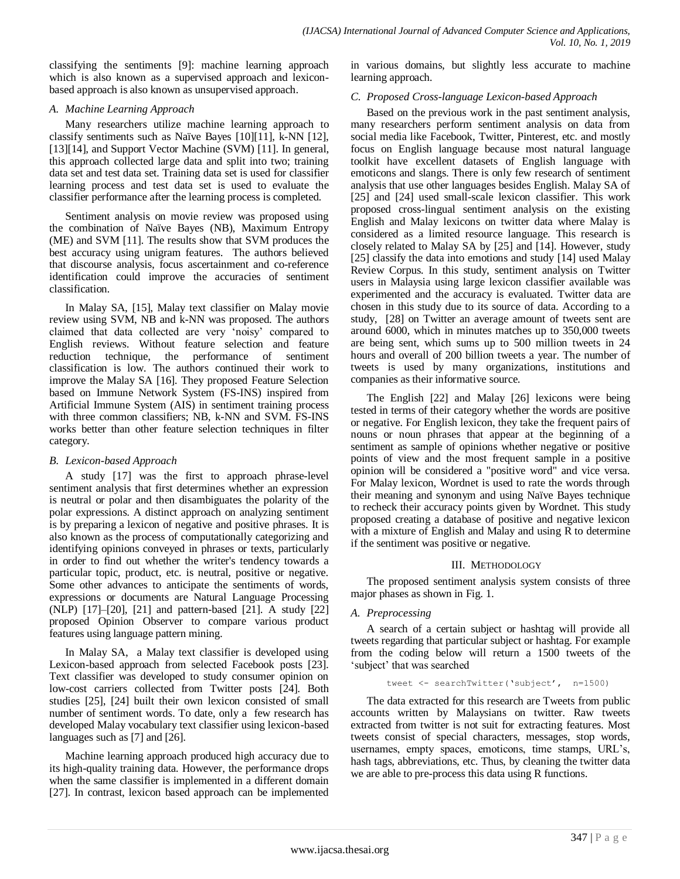classifying the sentiments [9]: machine learning approach which is also known as a supervised approach and lexiconbased approach is also known as unsupervised approach.

## *A. Machine Learning Approach*

Many researchers utilize machine learning approach to classify sentiments such as Naïve Bayes [10][11], k-NN [12], [13][14], and Support Vector Machine (SVM) [11]. In general, this approach collected large data and split into two; training data set and test data set. Training data set is used for classifier learning process and test data set is used to evaluate the classifier performance after the learning process is completed.

Sentiment analysis on movie review was proposed using the combination of Naïve Bayes (NB), Maximum Entropy (ME) and SVM [11]. The results show that SVM produces the best accuracy using unigram features. The authors believed that discourse analysis, focus ascertainment and co-reference identification could improve the accuracies of sentiment classification.

In Malay SA, [15], Malay text classifier on Malay movie review using SVM, NB and k-NN was proposed. The authors claimed that data collected are very "noisy" compared to English reviews. Without feature selection and feature reduction technique, the performance of sentiment classification is low. The authors continued their work to improve the Malay SA [16]. They proposed Feature Selection based on Immune Network System (FS-INS) inspired from Artificial Immune System (AIS) in sentiment training process with three common classifiers; NB, k-NN and SVM. FS-INS works better than other feature selection techniques in filter category.

# *B. Lexicon-based Approach*

A study [17] was the first to approach phrase-level sentiment analysis that first determines whether an expression is neutral or polar and then disambiguates the polarity of the polar expressions. A distinct approach on analyzing sentiment is by preparing a lexicon of negative and positive phrases. It is also known as the process of computationally categorizing and identifying opinions conveyed in phrases or texts, particularly in order to find out whether the writer's tendency towards a particular topic, product, etc. is neutral, positive or negative. Some other advances to anticipate the sentiments of words, expressions or documents are Natural Language Processing (NLP) [17]–[20], [21] and pattern-based [21]. A study [22] proposed Opinion Observer to compare various product features using language pattern mining.

In Malay SA, a Malay text classifier is developed using Lexicon-based approach from selected Facebook posts [23]. Text classifier was developed to study consumer opinion on low-cost carriers collected from Twitter posts [24]. Both studies [25], [24] built their own lexicon consisted of small number of sentiment words. To date, only a few research has developed Malay vocabulary text classifier using lexicon-based languages such as [7] and [26].

Machine learning approach produced high accuracy due to its high-quality training data. However, the performance drops when the same classifier is implemented in a different domain [27]. In contrast, lexicon based approach can be implemented in various domains, but slightly less accurate to machine learning approach.

# *C. Proposed Cross-language Lexicon-based Approach*

Based on the previous work in the past sentiment analysis, many researchers perform sentiment analysis on data from social media like Facebook, Twitter, Pinterest, etc. and mostly focus on English language because most natural language toolkit have excellent datasets of English language with emoticons and slangs. There is only few research of sentiment analysis that use other languages besides English. Malay SA of [25] and [24] used small-scale lexicon classifier. This work proposed cross-lingual sentiment analysis on the existing English and Malay lexicons on twitter data where Malay is considered as a limited resource language. This research is closely related to Malay SA by [25] and [14]. However, study [25] classify the data into emotions and study [14] used Malay Review Corpus. In this study, sentiment analysis on Twitter users in Malaysia using large lexicon classifier available was experimented and the accuracy is evaluated. Twitter data are chosen in this study due to its source of data. According to a study, [28] on Twitter an average amount of tweets sent are around 6000, which in minutes matches up to 350,000 tweets are being sent, which sums up to 500 million tweets in 24 hours and overall of 200 billion tweets a year. The number of tweets is used by many organizations, institutions and companies as their informative source.

The English [22] and Malay [26] lexicons were being tested in terms of their category whether the words are positive or negative. For English lexicon, they take the frequent pairs of nouns or noun phrases that appear at the beginning of a sentiment as sample of opinions whether negative or positive points of view and the most frequent sample in a positive opinion will be considered a "positive word" and vice versa. For Malay lexicon, Wordnet is used to rate the words through their meaning and synonym and using Naïve Bayes technique to recheck their accuracy points given by Wordnet. This study proposed creating a database of positive and negative lexicon with a mixture of English and Malay and using R to determine if the sentiment was positive or negative.

## III. METHODOLOGY

The proposed sentiment analysis system consists of three major phases as shown in [Fig. 1.](#page-2-0)

# *A. Preprocessing*

A search of a certain subject or hashtag will provide all tweets regarding that particular subject or hashtag. For example from the coding below will return a 1500 tweets of the 'subject' that was searched

#### tweet <- searchTwitter('subject', n=1500)

The data extracted for this research are Tweets from public accounts written by Malaysians on twitter. Raw tweets extracted from twitter is not suit for extracting features. Most tweets consist of special characters, messages, stop words, usernames, empty spaces, emoticons, time stamps, URL's, hash tags, abbreviations, etc. Thus, by cleaning the twitter data we are able to pre-process this data using R functions.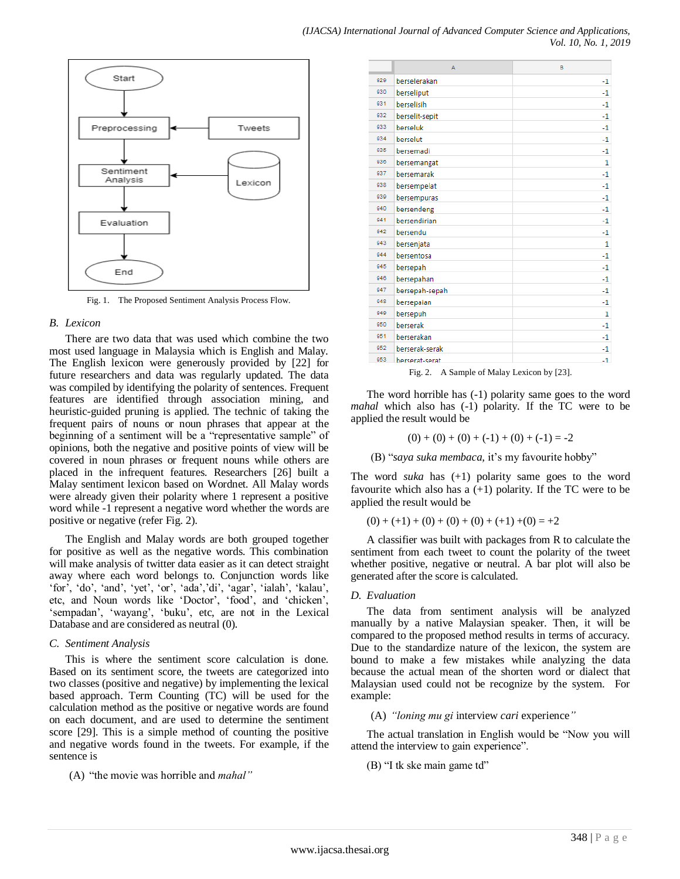

Fig. 1. The Proposed Sentiment Analysis Process Flow.

#### <span id="page-2-0"></span>*B. Lexicon*

There are two data that was used which combine the two most used language in Malaysia which is English and Malay. The English lexicon were generously provided by [22] for future researchers and data was regularly updated. The data was compiled by identifying the polarity of sentences. Frequent features are identified through association mining, and heuristic-guided pruning is applied. The technic of taking the frequent pairs of nouns or noun phrases that appear at the beginning of a sentiment will be a "representative sample" of opinions, both the negative and positive points of view will be covered in noun phrases or frequent nouns while others are placed in the infrequent features. Researchers [26] built a Malay sentiment lexicon based on Wordnet. All Malay words were already given their polarity where 1 represent a positive word while -1 represent a negative word whether the words are positive or negative (refer [Fig. 2\)](#page-2-1).

The English and Malay words are both grouped together for positive as well as the negative words. This combination will make analysis of twitter data easier as it can detect straight away where each word belongs to. Conjunction words like "for", "do", "and", "yet", "or", "ada", "di", "agar", "ialah", "kalau", etc, and Noun words like 'Doctor', 'food', and 'chicken', 'sempadan', 'wayang', 'buku', etc, are not in the Lexical Database and are considered as neutral (0).

#### *C. Sentiment Analysis*

This is where the sentiment score calculation is done. Based on its sentiment score, the tweets are categorized into two classes (positive and negative) by implementing the lexical based approach. Term Counting (TC) will be used for the calculation method as the positive or negative words are found on each document, and are used to determine the sentiment score [29]. This is a simple method of counting the positive and negative words found in the tweets. For example, if the sentence is

(A) "the movie was horrible and *mahal"*

|     | A              | B    |
|-----|----------------|------|
| 929 | berselerakan   | -1   |
| 930 | berseliput     | $-1$ |
| 931 | berselisih     | -1   |
| 932 | berselit-sepit | -1   |
| 933 | berseluk       | $-1$ |
| 934 | berselut       | $-1$ |
| 935 | bersemadi      | -1   |
| 936 | bersemangat    | 1    |
| 937 | bersemarak     | $-1$ |
| 938 | bersempelat    | -1   |
| 939 | bersempuras    | $-1$ |
| 940 | bersendeng     | $-1$ |
| 941 | bersendirian   | -1   |
| 942 | bersendu       | -1   |
| 943 | bersenjata     | 1    |
| 944 | bersentosa     | $-1$ |
| 945 | bersepah       | -1   |
| 946 | bersepahan     | -1   |
| 947 | bersepah-sepah | -1   |
| 948 | bersepaian     | -1   |
| 949 | bersepuh       | 1    |
| 950 | berserak       | -1   |
| 951 | berserakan     | $-1$ |
| 952 | berserak-serak | -1   |
| 953 | berserat-serat | $-1$ |

Fig. 2. A Sample of Malay Lexicon by [23].

<span id="page-2-1"></span>The word horrible has (-1) polarity same goes to the word *mahal* which also has (-1) polarity. If the TC were to be applied the result would be

$$
(0) + (0) + (0) + (-1) + (0) + (-1) = -2
$$

(B) "saya suka membaca, it's my favourite hobby"

The word *suka* has (+1) polarity same goes to the word favourite which also has a  $(+1)$  polarity. If the TC were to be applied the result would be

$$
(0) + (+1) + (0) + (0) + (0) + (+1) + (0) = +2
$$

A classifier was built with packages from R to calculate the sentiment from each tweet to count the polarity of the tweet whether positive, negative or neutral. A bar plot will also be generated after the score is calculated.

#### *D. Evaluation*

The data from sentiment analysis will be analyzed manually by a native Malaysian speaker. Then, it will be compared to the proposed method results in terms of accuracy. Due to the standardize nature of the lexicon, the system are bound to make a few mistakes while analyzing the data because the actual mean of the shorten word or dialect that Malaysian used could not be recognize by the system. For example:

(A) *"loning mu gi* interview *cari* experience*"*

The actual translation in English would be "Now you will attend the interview to gain experience".

(B) "I tk ske main game td"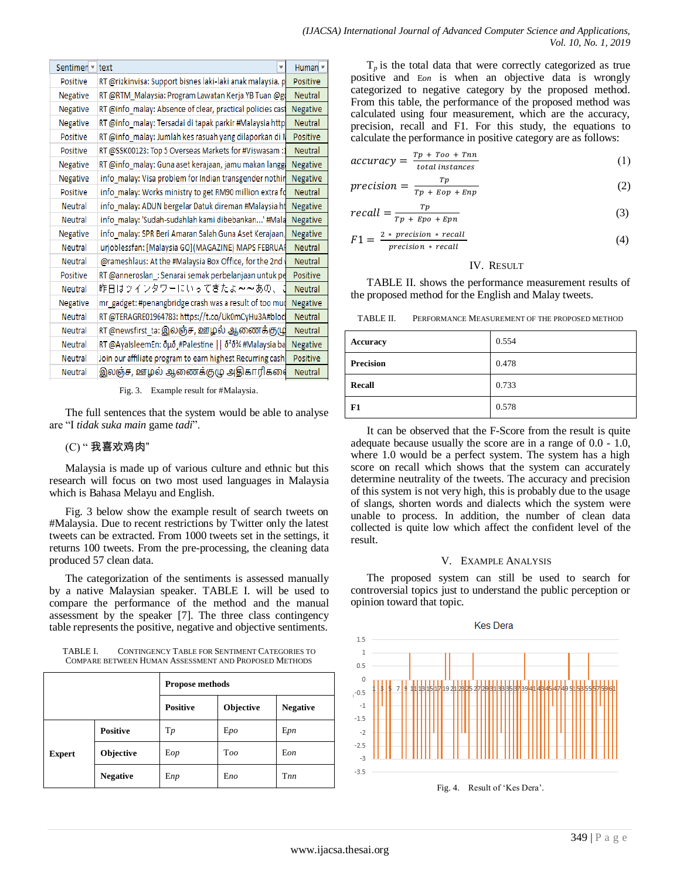| Sentimen v text | ▼                                                                  | Human <sup>V</sup> |
|-----------------|--------------------------------------------------------------------|--------------------|
| Positive        | RT @rizkinvisa: Support bisnes laki-laki anak malaysia. p          | Positive           |
| Negative        | RT @RTM_Malaysia: Program Lawatan Kerja YB Tuan @go                | <b>Neutral</b>     |
| Negative        | RT @info_malay: Absence of clear, practical policies cast          | Negative           |
| Negative        | RT @info malay: Tersadai di tapak parkir #Malaysia http            | <b>Neutral</b>     |
| Positive        | RT @info_malay: Jumlah kes rasuah yang dilaporkan di N             | Positive           |
| Positive        | RT @SSK00123: Top 5 Overseas Markets for #Viswasam :1              | <b>Neutral</b>     |
| Negative        | RT @info_malay: Guna aset kerajaan, jamu makan langgi              | Negative           |
| Negative        | info_malay: Visa problem for Indian transgender nothin             | Negative           |
| Positive        | info_malay: Works ministry to get RM90 million extra fo            | <b>Neutral</b>     |
| <b>Neutral</b>  | info_malay: ADUN bergelar Datuk direman #Malaysia ht               | Negative           |
| Neutral         | info_malay: 'Sudah-sudahlah kami dibebankan' #Mala                 | Negative           |
| Negative        | info malay: SPR Beri Amaran Salah Guna Aset Kerajaan,              | Negative           |
| <b>Neutral</b>  | urjoblessfan: [Malaysia GO](MAGAZINE) MAPS FEBRUAF                 | <b>Neutral</b>     |
| <b>Neutral</b>  | @rameshlaus: At the #Malaysia Box Office, for the 2nd              | <b>Neutral</b>     |
| Positive        | RT @anneroslan_: Senarai semak perbelanjaan untuk pe               | Positive           |
| <b>Neutral</b>  | 昨日はツインタワーにいってきたよ~~あの、                                              | <b>Neutral</b>     |
| Negative        | mr_gadget: #penangbridge crash was a result of too mud             | Negative           |
| <b>Neutral</b>  | RT @TERAGRE01964783: https://t.co/Uk0mCyHu3A#bloc                  | <b>Neutral</b>     |
| <b>Neutral</b>  | RT @newsfirst_ta: இலஞ்ச, ஊழல் ஆணைக்குழு                            | <b>Neutral</b>     |
| <b>Neutral</b>  | RT @AyaIsleemEn: δμδ ˌ#Palestine    δ <sup>2</sup> δ¾ #Malaysia ba | Negative           |
| Neutral         | Join our affiliate program to earn highest Recurring cash          | Positive           |
| Neutral         | இலஞ்ச, ஊழல் ஆணைக்குழு அதிகாரிகளை                                   | <b>Neutral</b>     |

 $T_p$  is the total data that were correctly categorized as true positive and E*on* is when an objective data is wrongly categorized to negative category by the proposed method. From this table, the performance of the proposed method was calculated using four measurement, which are the accuracy, precision, recall and F1. For this study, the equations to calculate the performance in positive category are as follows:

$$
accuracy = \frac{Tp + Too + Tnn}{total \; instances}
$$
 (1)

$$
precision = \frac{Tp}{Tp + Eop + Enp} \tag{2}
$$

$$
recall = \frac{Tp}{Tp + Epo + Epn} \tag{3}
$$

$$
F1 = \frac{2 \cdot precision \cdot recall}{precision \cdot recall}
$$
 (4)

### IV. RESULT

[TABLE II. s](#page-3-2)hows the performance measurement results of the proposed method for the English and Malay tweets.

<span id="page-3-2"></span>TABLE II. PERFORMANCE MEASUREMENT OF THE PROPOSED METHOD

| <b>Accuracy</b>  | 0.554 |
|------------------|-------|
| <b>Precision</b> | 0.478 |
| <b>Recall</b>    | 0.733 |
| F1               | 0.578 |

It can be observed that the F-Score from the result is quite adequate because usually the score are in a range of 0.0 - 1.0, where 1.0 would be a perfect system. The system has a high score on recall which shows that the system can accurately determine neutrality of the tweets. The accuracy and precision of this system is not very high, this is probably due to the usage of slangs, shorten words and dialects which the system were unable to process. In addition, the number of clean data collected is quite low which affect the confident level of the result.

## V. EXAMPLE ANALYSIS

The proposed system can still be used to search for controversial topics just to understand the public perception or opinion toward that topic.



<span id="page-3-3"></span>Fig. 4. Result of 'Kes Dera'.

Fig. 3. Example result for #Malaysia.

<span id="page-3-0"></span>The full sentences that the system would be able to analyse are "I *tidak suka main* game *tadi*".

# (C) " 我喜欢鸡肉"

Malaysia is made up of various culture and ethnic but this research will focus on two most used languages in Malaysia which is Bahasa Melayu and English.

[Fig. 3](#page-3-0) below show the example result of search tweets on #Malaysia. Due to recent restrictions by Twitter only the latest tweets can be extracted. From 1000 tweets set in the settings, it returns 100 tweets. From the pre-processing, the cleaning data produced 57 clean data.

The categorization of the sentiments is assessed manually by a native Malaysian speaker. [TABLE I. w](#page-3-1)ill be used to compare the performance of the method and the manual assessment by the speaker [7]. The three class contingency table represents the positive, negative and objective sentiments.

<span id="page-3-1"></span>TABLE I. CONTINGENCY TABLE FOR SENTIMENT CATEGORIES TO COMPARE BETWEEN HUMAN ASSESSMENT AND PROPOSED METHODS

|               |                 | <b>Propose methods</b> |           |                 |
|---------------|-----------------|------------------------|-----------|-----------------|
|               |                 | <b>Positive</b>        | Objective | <b>Negative</b> |
|               | <b>Positive</b> | $T_p$                  | Epo       | Epn             |
| <b>Expert</b> | Objective       | Eop                    | Too       | Eon             |
|               | <b>Negative</b> | Enp                    | Eno       | Tnn             |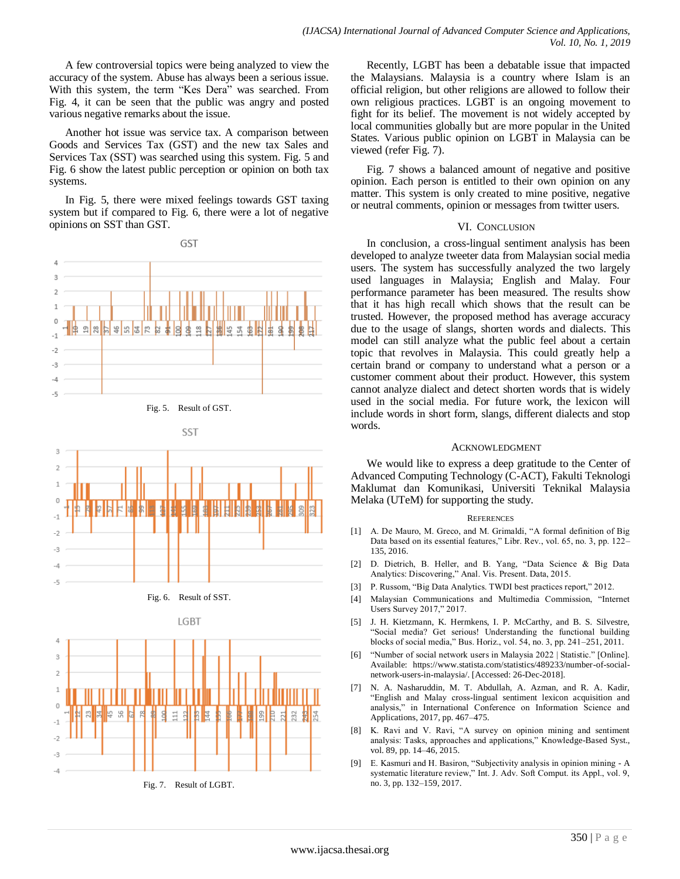A few controversial topics were being analyzed to view the accuracy of the system. Abuse has always been a serious issue. With this system, the term "Kes Dera" was searched. From [Fig. 4,](#page-3-3) it can be seen that the public was angry and posted various negative remarks about the issue.

Another hot issue was service tax. A comparison between Goods and Services Tax (GST) and the new tax Sales and Services Tax (SST) was searched using this system. [Fig. 5](#page-4-0) and [Fig. 6](#page-4-1) show the latest public perception or opinion on both tax systems.

In [Fig. 5,](#page-4-0) there were mixed feelings towards GST taxing system but if compared to [Fig. 6,](#page-4-1) there were a lot of negative opinions on SST than GST.





<span id="page-4-0"></span>

Fig. 6. Result of SST.

<span id="page-4-2"></span><span id="page-4-1"></span>

Recently, LGBT has been a debatable issue that impacted the Malaysians. Malaysia is a country where Islam is an official religion, but other religions are allowed to follow their own religious practices. LGBT is an ongoing movement to fight for its belief. The movement is not widely accepted by local communities globally but are more popular in the United States. Various public opinion on LGBT in Malaysia can be viewed (refer [Fig. 7\)](#page-4-2).

[Fig. 7](#page-4-2) shows a balanced amount of negative and positive opinion. Each person is entitled to their own opinion on any matter. This system is only created to mine positive, negative or neutral comments, opinion or messages from twitter users.

#### VI. CONCLUSION

In conclusion, a cross-lingual sentiment analysis has been developed to analyze tweeter data from Malaysian social media users. The system has successfully analyzed the two largely used languages in Malaysia; English and Malay. Four performance parameter has been measured. The results show that it has high recall which shows that the result can be trusted. However, the proposed method has average accuracy due to the usage of slangs, shorten words and dialects. This model can still analyze what the public feel about a certain topic that revolves in Malaysia. This could greatly help a certain brand or company to understand what a person or a customer comment about their product. However, this system cannot analyze dialect and detect shorten words that is widely used in the social media. For future work, the lexicon will include words in short form, slangs, different dialects and stop words.

#### ACKNOWLEDGMENT

We would like to express a deep gratitude to the Center of Advanced Computing Technology (C-ACT), Fakulti Teknologi Maklumat dan Komunikasi, Universiti Teknikal Malaysia Melaka (UTeM) for supporting the study.

#### **REFERENCES**

- [1] A. De Mauro, M. Greco, and M. Grimaldi, "A formal definition of Big Data based on its essential features," Libr. Rev., vol. 65, no. 3, pp. 122– 135, 2016.
- [2] D. Dietrich, B. Heller, and B. Yang, "Data Science & Big Data Analytics: Discovering," Anal. Vis. Present. Data, 2015.
- [3] P. Russom, "Big Data Analytics. TWDI best practices report," 2012.
- [4] Malaysian Communications and Multimedia Commission, "Internet Users Survey 2017," 2017.
- [5] J. H. Kietzmann, K. Hermkens, I. P. McCarthy, and B. S. Silvestre, "Social media? Get serious! Understanding the functional building blocks of social media," Bus. Horiz., vol. 54, no. 3, pp. 241–251, 2011.
- [6] "Number of social network users in Malaysia 2022 | Statistic." [Online]. Available: https://www.statista.com/statistics/489233/number-of-socialnetwork-users-in-malaysia/. [Accessed: 26-Dec-2018].
- N. A. Nasharuddin, M. T. Abdullah, A. Azman, and R. A. Kadir, "English and Malay cross-lingual sentiment lexicon acquisition and analysis," in International Conference on Information Science and Applications, 2017, pp. 467–475.
- [8] K. Ravi and V. Ravi, "A survey on opinion mining and sentiment analysis: Tasks, approaches and applications," Knowledge-Based Syst., vol. 89, pp. 14–46, 2015.
- [9] E. Kasmuri and H. Basiron, "Subjectivity analysis in opinion mining A systematic literature review," Int. J. Adv. Soft Comput. its Appl., vol. 9, no. 3, pp. 132–159, 2017.